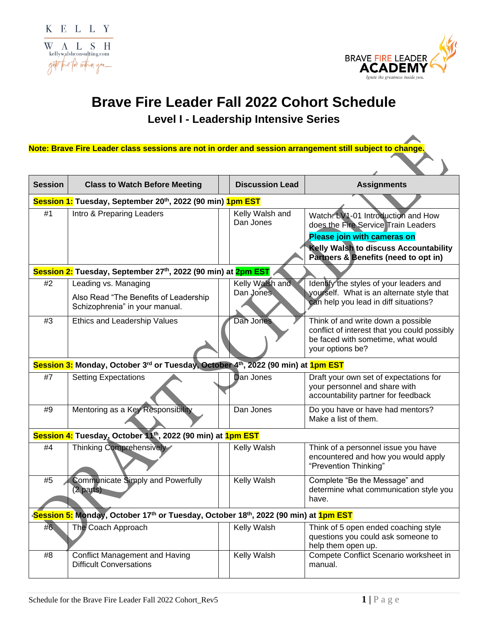

γ

## **Brave Fire Leader Fall 2022 Cohort Schedule**

**Level I - Leadership Intensive Series**

**Note: Brave Fire Leader class sessions are not in order and session arrangement still subject to change.**

| <b>Session</b>                                               | <b>Class to Watch Before Meeting</b>                                                                                                    |  | <b>Discussion Lead</b>       | <b>Assignments</b>                                                                                                                                                                        |  |  |  |
|--------------------------------------------------------------|-----------------------------------------------------------------------------------------------------------------------------------------|--|------------------------------|-------------------------------------------------------------------------------------------------------------------------------------------------------------------------------------------|--|--|--|
|                                                              | Session 1: Tuesday, September 20 <sup>th</sup> , 2022 (90 min) 1pm EST                                                                  |  |                              |                                                                                                                                                                                           |  |  |  |
| #1                                                           | Intro & Preparing Leaders                                                                                                               |  | Kelly Walsh and<br>Dan Jones | Watch: LV1-01 Introduction and How<br>does the Fire Service Train Leaders<br>Please join with cameras on<br>Kelly Walsh to discuss Accountability<br>Partners & Benefits (need to opt in) |  |  |  |
| Session 2: Tuesday, September 27th, 2022 (90 min) at 2pm EST |                                                                                                                                         |  |                              |                                                                                                                                                                                           |  |  |  |
| #2                                                           | Leading vs. Managing<br>Also Read "The Benefits of Leadership<br>Schizophrenia" in your manual.                                         |  | Kelly Walsh and<br>Dan Jones | Identify the styles of your leaders and<br>yourself. What is an alternate style that<br>can help you lead in diff situations?                                                             |  |  |  |
| #3                                                           | Ethics and Leadership Values                                                                                                            |  | Dan Jones                    | Think of and write down a possible<br>conflict of interest that you could possibly<br>be faced with sometime, what would<br>your options be?                                              |  |  |  |
|                                                              | Session 3: Monday, October 3 <sup>rd</sup> or Tuesday, October 4 <sup>th</sup> , 2022 (90 min) at 1pm EST                               |  |                              |                                                                                                                                                                                           |  |  |  |
| #7                                                           | <b>Setting Expectations</b>                                                                                                             |  | Dan Jones                    | Draft your own set of expectations for<br>your personnel and share with<br>accountability partner for feedback                                                                            |  |  |  |
| #9                                                           | Mentoring as a Key Responsibility                                                                                                       |  | Dan Jones                    | Do you have or have had mentors?<br>Make a list of them.                                                                                                                                  |  |  |  |
|                                                              | Session 4: Tuesday, October 11 <sup>th</sup> , 2022 (90 min) at 1pm EST                                                                 |  |                              |                                                                                                                                                                                           |  |  |  |
| #4                                                           | Thinking Comprehensively                                                                                                                |  | Kelly Walsh                  | Think of a personnel issue you have<br>encountered and how you would apply<br>"Prevention Thinking"                                                                                       |  |  |  |
| #5                                                           | Communicate Simply and Powerfully<br>(2 parts)                                                                                          |  | <b>Kelly Walsh</b>           | Complete "Be the Message" and<br>determine what communication style you<br>have.                                                                                                          |  |  |  |
|                                                              | ⁄ <mark>Session 5:</mark> Monday, October 17 <sup>th</sup> or Tuesday, October 18 <sup>th</sup> , 2022 (90 min) at <mark>1pm EST</mark> |  |                              |                                                                                                                                                                                           |  |  |  |
| #6                                                           | The Coach Approach                                                                                                                      |  | <b>Kelly Walsh</b>           | Think of 5 open ended coaching style<br>questions you could ask someone to<br>help them open up.                                                                                          |  |  |  |
| #8                                                           | <b>Conflict Management and Having</b><br><b>Difficult Conversations</b>                                                                 |  | Kelly Walsh                  | Compete Conflict Scenario worksheet in<br>manual.                                                                                                                                         |  |  |  |